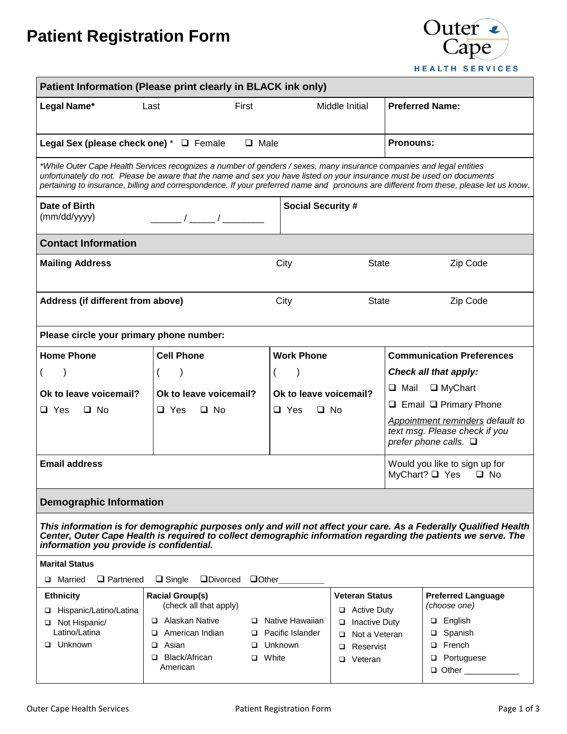# **Patient Registration Form**



| Patient Information (Please print clearly in BLACK ink only)                                                                                                                                                                                                                                                                                                                               |                                                                                                               |           |                                                      |                                                                                                             |                                                                                                    |                                                                                          |  |  |  |
|--------------------------------------------------------------------------------------------------------------------------------------------------------------------------------------------------------------------------------------------------------------------------------------------------------------------------------------------------------------------------------------------|---------------------------------------------------------------------------------------------------------------|-----------|------------------------------------------------------|-------------------------------------------------------------------------------------------------------------|----------------------------------------------------------------------------------------------------|------------------------------------------------------------------------------------------|--|--|--|
| Legal Name*                                                                                                                                                                                                                                                                                                                                                                                | Last                                                                                                          | First     |                                                      | Middle Initial                                                                                              |                                                                                                    | <b>Preferred Name:</b>                                                                   |  |  |  |
| Legal Sex (please check one) * □ Female                                                                                                                                                                                                                                                                                                                                                    | $\Box$ Male                                                                                                   | Pronouns: |                                                      |                                                                                                             |                                                                                                    |                                                                                          |  |  |  |
| *While Outer Cape Health Services recognizes a number of genders / sexes, many insurance companies and legal entities<br>unfortunately do not. Please be aware that the name and sex you have listed on your insurance must be used on documents<br>pertaining to insurance, billing and correspondence. If your preferred name and pronouns are different from these, please let us know. |                                                                                                               |           |                                                      |                                                                                                             |                                                                                                    |                                                                                          |  |  |  |
| Date of Birth<br>(mm/dd/yyyy)<br>$\frac{1}{\sqrt{1-\frac{1}{2}}}$                                                                                                                                                                                                                                                                                                                          |                                                                                                               |           | <b>Social Security #</b>                             |                                                                                                             |                                                                                                    |                                                                                          |  |  |  |
| <b>Contact Information</b>                                                                                                                                                                                                                                                                                                                                                                 |                                                                                                               |           |                                                      |                                                                                                             |                                                                                                    |                                                                                          |  |  |  |
| <b>Mailing Address</b>                                                                                                                                                                                                                                                                                                                                                                     |                                                                                                               |           | City                                                 | <b>State</b>                                                                                                |                                                                                                    | Zip Code                                                                                 |  |  |  |
| Address (if different from above)                                                                                                                                                                                                                                                                                                                                                          |                                                                                                               |           | City                                                 | <b>State</b>                                                                                                |                                                                                                    | Zip Code                                                                                 |  |  |  |
| Please circle your primary phone number:                                                                                                                                                                                                                                                                                                                                                   |                                                                                                               |           |                                                      |                                                                                                             |                                                                                                    |                                                                                          |  |  |  |
| <b>Home Phone</b>                                                                                                                                                                                                                                                                                                                                                                          | <b>Cell Phone</b>                                                                                             |           | <b>Work Phone</b>                                    |                                                                                                             | <b>Communication Preferences</b>                                                                   |                                                                                          |  |  |  |
|                                                                                                                                                                                                                                                                                                                                                                                            |                                                                                                               |           |                                                      |                                                                                                             |                                                                                                    | Check all that apply:                                                                    |  |  |  |
| Ok to leave voicemail?                                                                                                                                                                                                                                                                                                                                                                     | Ok to leave voicemail?                                                                                        |           | Ok to leave voicemail?                               |                                                                                                             | $\Box$ Mail<br>$\Box$ MyChart<br>$\Box$ Email $\Box$ Primary Phone                                 |                                                                                          |  |  |  |
| $\square$ Yes<br>$\Box$ No                                                                                                                                                                                                                                                                                                                                                                 | $\Box$ Yes<br>$\square$ No                                                                                    |           | $\Box$ Yes<br>$\Box$ No                              |                                                                                                             | Appointment reminders default to<br>text msg. Please check if you<br>prefer phone calls. $\square$ |                                                                                          |  |  |  |
| <b>Email address</b>                                                                                                                                                                                                                                                                                                                                                                       | Would you like to sign up for<br>MyChart? $\Box$ Yes<br>$\Box$ No                                             |           |                                                      |                                                                                                             |                                                                                                    |                                                                                          |  |  |  |
| <b>Demographic Information</b>                                                                                                                                                                                                                                                                                                                                                             |                                                                                                               |           |                                                      |                                                                                                             |                                                                                                    |                                                                                          |  |  |  |
| This information is for demographic purposes only and will not affect your care. As a Federally Qualified Health<br>Center, Outer Cape Health is required to collect demographic information regarding the patients we serve. The<br>information you provide is confidential.                                                                                                              |                                                                                                               |           |                                                      |                                                                                                             |                                                                                                    |                                                                                          |  |  |  |
| <b>Marital Status</b>                                                                                                                                                                                                                                                                                                                                                                      |                                                                                                               |           |                                                      |                                                                                                             |                                                                                                    |                                                                                          |  |  |  |
| Married<br>$\Box$ Partnered<br>$\Box$ Single<br><b>ODivorced</b><br>$\Box$ Other<br>□                                                                                                                                                                                                                                                                                                      |                                                                                                               |           |                                                      |                                                                                                             |                                                                                                    |                                                                                          |  |  |  |
| <b>Ethnicity</b><br>Hispanic/Latino/Latina<br>□<br>Not Hispanic/<br>Latino/Latina<br>□ Unknown                                                                                                                                                                                                                                                                                             | <b>Racial Group(s)</b><br>(check all that apply)<br>Alaskan Native<br>□<br>American Indian<br>□<br>Asian<br>□ |           | □ Native Hawaiian<br>□ Pacific Islander<br>□ Unknown | <b>Veteran Status</b><br>$\Box$ Active Duty<br><b>Inactive Duty</b><br>Not a Veteran<br>□<br>Reservist<br>□ |                                                                                                    | <b>Preferred Language</b><br>(choose one)<br>English<br>□<br>Spanish<br>□<br>French<br>□ |  |  |  |
|                                                                                                                                                                                                                                                                                                                                                                                            | Black/African<br>□<br>American                                                                                | □ White   |                                                      | Veteran<br>◻                                                                                                |                                                                                                    | Portuguese<br>□<br>□ Other ___________                                                   |  |  |  |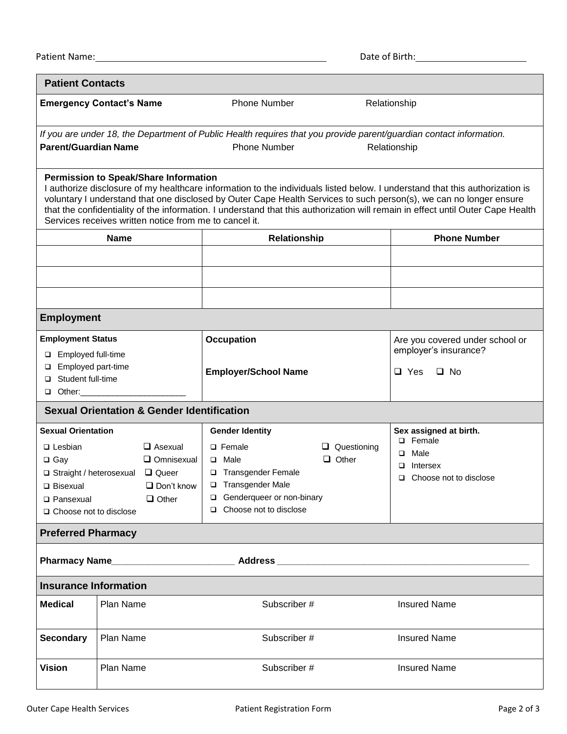| <b>Patient Contacts</b>                                                                                                                                                                                                                                                                                                                                                                                                                                                                  |                  |                                                       |                                                                                                                                            |                                                          |                               |  |  |  |  |
|------------------------------------------------------------------------------------------------------------------------------------------------------------------------------------------------------------------------------------------------------------------------------------------------------------------------------------------------------------------------------------------------------------------------------------------------------------------------------------------|------------------|-------------------------------------------------------|--------------------------------------------------------------------------------------------------------------------------------------------|----------------------------------------------------------|-------------------------------|--|--|--|--|
| <b>Emergency Contact's Name</b>                                                                                                                                                                                                                                                                                                                                                                                                                                                          |                  | Phone Number                                          |                                                                                                                                            | Relationship                                             |                               |  |  |  |  |
| <b>Parent/Guardian Name</b>                                                                                                                                                                                                                                                                                                                                                                                                                                                              |                  |                                                       | If you are under 18, the Department of Public Health requires that you provide parent/guardian contact information.<br><b>Phone Number</b> |                                                          | Relationship                  |  |  |  |  |
| Permission to Speak/Share Information<br>I authorize disclosure of my healthcare information to the individuals listed below. I understand that this authorization is<br>voluntary I understand that one disclosed by Outer Cape Health Services to such person(s), we can no longer ensure<br>that the confidentiality of the information. I understand that this authorization will remain in effect until Outer Cape Health<br>Services receives written notice from me to cancel it. |                  |                                                       |                                                                                                                                            |                                                          |                               |  |  |  |  |
| <b>Name</b>                                                                                                                                                                                                                                                                                                                                                                                                                                                                              |                  | <b>Relationship</b>                                   |                                                                                                                                            | <b>Phone Number</b>                                      |                               |  |  |  |  |
|                                                                                                                                                                                                                                                                                                                                                                                                                                                                                          |                  |                                                       |                                                                                                                                            |                                                          |                               |  |  |  |  |
|                                                                                                                                                                                                                                                                                                                                                                                                                                                                                          |                  |                                                       |                                                                                                                                            |                                                          |                               |  |  |  |  |
|                                                                                                                                                                                                                                                                                                                                                                                                                                                                                          |                  |                                                       |                                                                                                                                            |                                                          |                               |  |  |  |  |
| <b>Employment</b>                                                                                                                                                                                                                                                                                                                                                                                                                                                                        |                  |                                                       |                                                                                                                                            |                                                          |                               |  |  |  |  |
| <b>Employment Status</b>                                                                                                                                                                                                                                                                                                                                                                                                                                                                 |                  | <b>Occupation</b>                                     |                                                                                                                                            | Are you covered under school or<br>employer's insurance? |                               |  |  |  |  |
| □ Employed full-time<br>□ Employed part-time                                                                                                                                                                                                                                                                                                                                                                                                                                             |                  |                                                       |                                                                                                                                            |                                                          |                               |  |  |  |  |
| Student full-time<br>□                                                                                                                                                                                                                                                                                                                                                                                                                                                                   |                  | <b>Employer/School Name</b>                           |                                                                                                                                            | $\Box$ Yes<br>$\Box$ No                                  |                               |  |  |  |  |
| $\Box$ Other:                                                                                                                                                                                                                                                                                                                                                                                                                                                                            |                  |                                                       |                                                                                                                                            |                                                          |                               |  |  |  |  |
|                                                                                                                                                                                                                                                                                                                                                                                                                                                                                          |                  | <b>Sexual Orientation &amp; Gender Identification</b> |                                                                                                                                            |                                                          |                               |  |  |  |  |
| <b>Sexual Orientation</b><br>$\Box$ Asexual<br>$\Box$ Lesbian                                                                                                                                                                                                                                                                                                                                                                                                                            |                  | <b>Gender Identity</b><br>$\Box$ Female               | $\Box$ Questioning                                                                                                                         | Sex assigned at birth.<br>□ Female<br>$\Box$ Male        |                               |  |  |  |  |
| $\Box$ Gay                                                                                                                                                                                                                                                                                                                                                                                                                                                                               |                  | $\Box$ Omnisexual                                     | $\Box$ Male                                                                                                                                | $\Box$ Other                                             | $\Box$ Intersex               |  |  |  |  |
| □ Straight / heterosexual □ Queer<br>□ Bisexual                                                                                                                                                                                                                                                                                                                                                                                                                                          |                  | $\Box$ Don't know                                     | □ Transgender Female<br>□ Transgender Male                                                                                                 |                                                          | $\Box$ Choose not to disclose |  |  |  |  |
| □ Pansexual                                                                                                                                                                                                                                                                                                                                                                                                                                                                              |                  | $\Box$ Other                                          | Genderqueer or non-binary                                                                                                                  |                                                          |                               |  |  |  |  |
| □ Choose not to disclose                                                                                                                                                                                                                                                                                                                                                                                                                                                                 |                  |                                                       | $\Box$ Choose not to disclose                                                                                                              |                                                          |                               |  |  |  |  |
| <b>Preferred Pharmacy</b>                                                                                                                                                                                                                                                                                                                                                                                                                                                                |                  |                                                       |                                                                                                                                            |                                                          |                               |  |  |  |  |
|                                                                                                                                                                                                                                                                                                                                                                                                                                                                                          |                  |                                                       |                                                                                                                                            |                                                          |                               |  |  |  |  |
| <b>Insurance Information</b>                                                                                                                                                                                                                                                                                                                                                                                                                                                             |                  |                                                       |                                                                                                                                            |                                                          |                               |  |  |  |  |
| <b>Medical</b>                                                                                                                                                                                                                                                                                                                                                                                                                                                                           | <b>Plan Name</b> |                                                       | Subscriber #                                                                                                                               |                                                          | <b>Insured Name</b>           |  |  |  |  |
| <b>Secondary</b>                                                                                                                                                                                                                                                                                                                                                                                                                                                                         | Plan Name        |                                                       | Subscriber #                                                                                                                               |                                                          | <b>Insured Name</b>           |  |  |  |  |
| <b>Vision</b>                                                                                                                                                                                                                                                                                                                                                                                                                                                                            | Plan Name        |                                                       | Subscriber #                                                                                                                               |                                                          | <b>Insured Name</b>           |  |  |  |  |